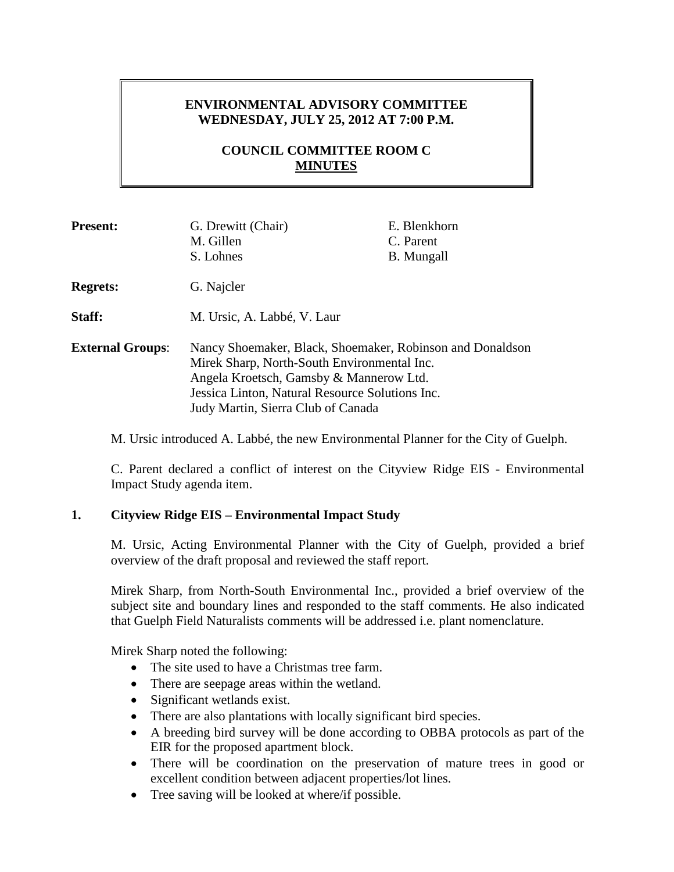# **ENVIRONMENTAL ADVISORY COMMITTEE WEDNESDAY, JULY 25, 2012 AT 7:00 P.M.**

# **COUNCIL COMMITTEE ROOM C MINUTES**

| <b>Present:</b>         | G. Drewitt (Chair)<br>M. Gillen<br>S. Lohnes                                                                                                                                                                                                 | E. Blenkhorn<br>C. Parent<br>B. Mungall |
|-------------------------|----------------------------------------------------------------------------------------------------------------------------------------------------------------------------------------------------------------------------------------------|-----------------------------------------|
| <b>Regrets:</b>         | G. Najcler                                                                                                                                                                                                                                   |                                         |
| <b>Staff:</b>           | M. Ursic, A. Labbé, V. Laur                                                                                                                                                                                                                  |                                         |
| <b>External Groups:</b> | Nancy Shoemaker, Black, Shoemaker, Robinson and Donaldson<br>Mirek Sharp, North-South Environmental Inc.<br>Angela Kroetsch, Gamsby & Mannerow Ltd.<br>Jessica Linton, Natural Resource Solutions Inc.<br>Judy Martin, Sierra Club of Canada |                                         |

M. Ursic introduced A. Labbé, the new Environmental Planner for the City of Guelph.

C. Parent declared a conflict of interest on the Cityview Ridge EIS - Environmental Impact Study agenda item.

## **1. Cityview Ridge EIS – Environmental Impact Study**

M. Ursic, Acting Environmental Planner with the City of Guelph, provided a brief overview of the draft proposal and reviewed the staff report.

Mirek Sharp, from North-South Environmental Inc., provided a brief overview of the subject site and boundary lines and responded to the staff comments. He also indicated that Guelph Field Naturalists comments will be addressed i.e. plant nomenclature.

Mirek Sharp noted the following:

- The site used to have a Christmas tree farm.
- There are seepage areas within the wetland.
- Significant wetlands exist.
- There are also plantations with locally significant bird species.
- A breeding bird survey will be done according to OBBA protocols as part of the EIR for the proposed apartment block.
- There will be coordination on the preservation of mature trees in good or excellent condition between adjacent properties/lot lines.
- Tree saving will be looked at where/if possible.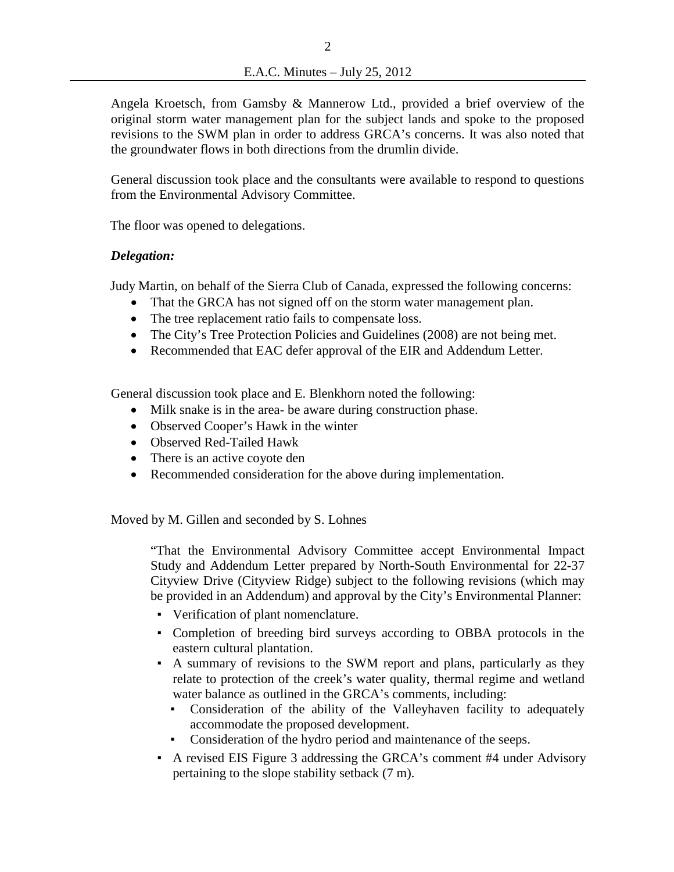Angela Kroetsch, from Gamsby & Mannerow Ltd., provided a brief overview of the original storm water management plan for the subject lands and spoke to the proposed revisions to the SWM plan in order to address GRCA's concerns. It was also noted that the groundwater flows in both directions from the drumlin divide.

General discussion took place and the consultants were available to respond to questions from the Environmental Advisory Committee.

The floor was opened to delegations.

## *Delegation:*

Judy Martin, on behalf of the Sierra Club of Canada, expressed the following concerns:

- That the GRCA has not signed off on the storm water management plan.
- The tree replacement ratio fails to compensate loss.
- The City's Tree Protection Policies and Guidelines (2008) are not being met.
- Recommended that EAC defer approval of the EIR and Addendum Letter.

General discussion took place and E. Blenkhorn noted the following:

- Milk snake is in the area- be aware during construction phase.
- Observed Cooper's Hawk in the winter
- Observed Red-Tailed Hawk
- There is an active coyote den
- Recommended consideration for the above during implementation.

Moved by M. Gillen and seconded by S. Lohnes

"That the Environmental Advisory Committee accept Environmental Impact Study and Addendum Letter prepared by North-South Environmental for 22-37 Cityview Drive (Cityview Ridge) subject to the following revisions (which may be provided in an Addendum) and approval by the City's Environmental Planner:

- Verification of plant nomenclature.
- Completion of breeding bird surveys according to OBBA protocols in the eastern cultural plantation.
- A summary of revisions to the SWM report and plans, particularly as they relate to protection of the creek's water quality, thermal regime and wetland water balance as outlined in the GRCA's comments, including:
	- Consideration of the ability of the Valleyhaven facility to adequately accommodate the proposed development.
	- Consideration of the hydro period and maintenance of the seeps.
- A revised EIS Figure 3 addressing the GRCA's comment #4 under Advisory pertaining to the slope stability setback (7 m).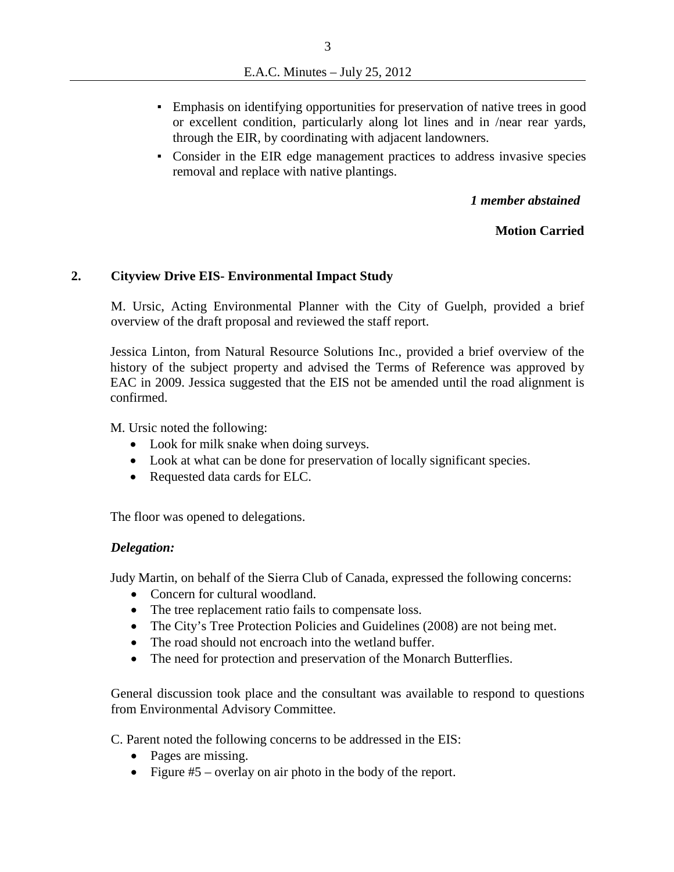- Emphasis on identifying opportunities for preservation of native trees in good or excellent condition, particularly along lot lines and in /near rear yards, through the EIR, by coordinating with adjacent landowners.
- Consider in the EIR edge management practices to address invasive species removal and replace with native plantings.

*1 member abstained* 

## **Motion Carried**

## **2. Cityview Drive EIS- Environmental Impact Study**

M. Ursic, Acting Environmental Planner with the City of Guelph, provided a brief overview of the draft proposal and reviewed the staff report.

Jessica Linton, from Natural Resource Solutions Inc., provided a brief overview of the history of the subject property and advised the Terms of Reference was approved by EAC in 2009. Jessica suggested that the EIS not be amended until the road alignment is confirmed.

M. Ursic noted the following:

- Look for milk snake when doing surveys.
- Look at what can be done for preservation of locally significant species.
- Requested data cards for ELC.

The floor was opened to delegations.

## *Delegation:*

Judy Martin, on behalf of the Sierra Club of Canada, expressed the following concerns:

- Concern for cultural woodland.
- The tree replacement ratio fails to compensate loss.
- The City's Tree Protection Policies and Guidelines (2008) are not being met.
- The road should not encroach into the wetland buffer.
- The need for protection and preservation of the Monarch Butterflies.

General discussion took place and the consultant was available to respond to questions from Environmental Advisory Committee.

C. Parent noted the following concerns to be addressed in the EIS:

- Pages are missing.
- Figure #5 overlay on air photo in the body of the report.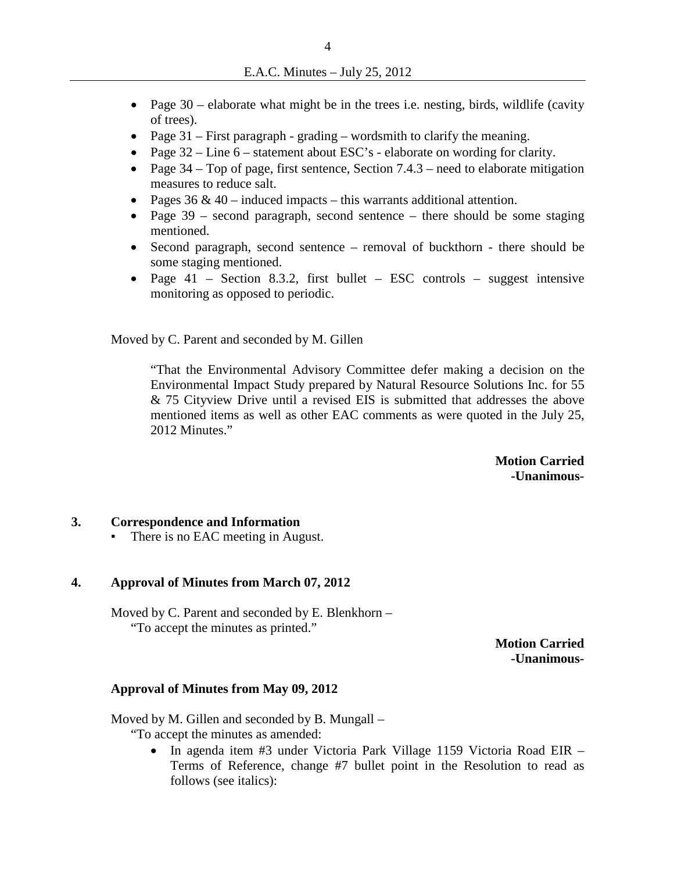- Page  $30$  elaborate what might be in the trees i.e. nesting, birds, wildlife (cavity of trees).
- Page 31 First paragraph grading wordsmith to clarify the meaning.
- Page  $32 -$ Line  $6 -$  statement about ESC's elaborate on wording for clarity.
- Page  $34 Top$  of page, first sentence, Section  $7.4.3 -$  need to elaborate mitigation measures to reduce salt.
- Pages  $36 \& 40$  induced impacts this warrants additional attention.
- Page  $39$  second paragraph, second sentence there should be some staging mentioned.
- Second paragraph, second sentence removal of buckthorn there should be some staging mentioned.
- Page 41 Section 8.3.2, first bullet ESC controls suggest intensive monitoring as opposed to periodic.

Moved by C. Parent and seconded by M. Gillen

"That the Environmental Advisory Committee defer making a decision on the Environmental Impact Study prepared by Natural Resource Solutions Inc. for 55 & 75 Cityview Drive until a revised EIS is submitted that addresses the above mentioned items as well as other EAC comments as were quoted in the July 25, 2012 Minutes."

> **Motion Carried -Unanimous-**

## **3. Correspondence and Information**

• There is no EAC meeting in August.

#### **4. Approval of Minutes from March 07, 2012**

Moved by C. Parent and seconded by E. Blenkhorn – "To accept the minutes as printed."

**Motion Carried -Unanimous-**

#### **Approval of Minutes from May 09, 2012**

Moved by M. Gillen and seconded by B. Mungall –

"To accept the minutes as amended:

• In agenda item #3 under Victoria Park Village 1159 Victoria Road EIR – Terms of Reference, change #7 bullet point in the Resolution to read as follows (see italics):